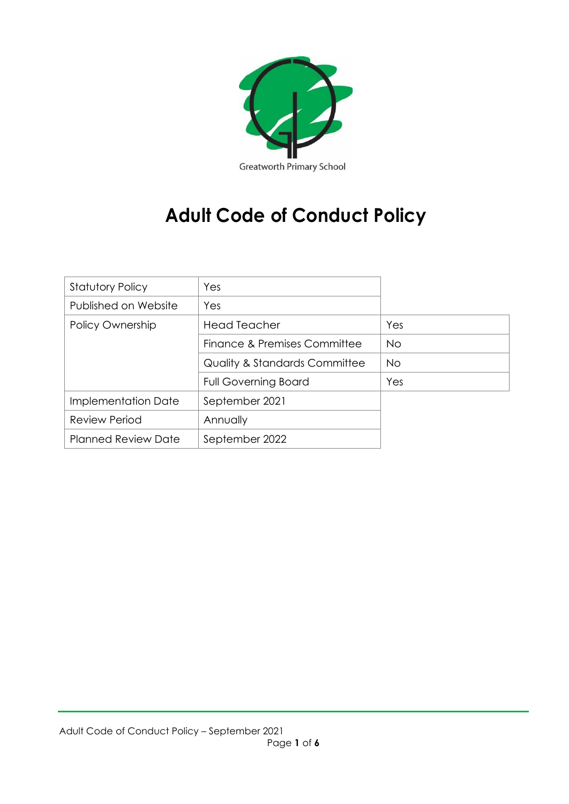

# **Adult Code of Conduct Policy**

| <b>Statutory Policy</b>    | Yes                                      |           |
|----------------------------|------------------------------------------|-----------|
| Published on Website       | Yes                                      |           |
| Policy Ownership           | <b>Head Teacher</b>                      | Yes       |
|                            | Finance & Premises Committee             | <b>No</b> |
|                            | <b>Quality &amp; Standards Committee</b> | <b>No</b> |
|                            | <b>Full Governing Board</b>              | Yes       |
| Implementation Date        | September 2021                           |           |
| <b>Review Period</b>       | Annually                                 |           |
| <b>Planned Review Date</b> | September 2022                           |           |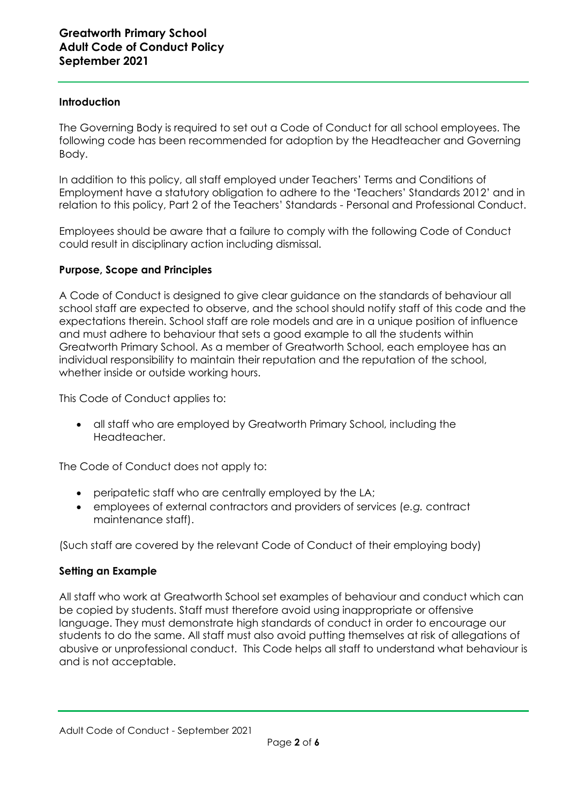### **Introduction**

The Governing Body is required to set out a Code of Conduct for all school employees. The following code has been recommended for adoption by the Headteacher and Governing Body.

In addition to this policy, all staff employed under Teachers' Terms and Conditions of Employment have a statutory obligation to adhere to the 'Teachers' Standards 2012' and in relation to this policy, Part 2 of the Teachers' Standards - Personal and Professional Conduct.

Employees should be aware that a failure to comply with the following Code of Conduct could result in disciplinary action including dismissal.

# **Purpose, Scope and Principles**

A Code of Conduct is designed to give clear guidance on the standards of behaviour all school staff are expected to observe, and the school should notify staff of this code and the expectations therein. School staff are role models and are in a unique position of influence and must adhere to behaviour that sets a good example to all the students within Greatworth Primary School. As a member of Greatworth School, each employee has an individual responsibility to maintain their reputation and the reputation of the school, whether inside or outside working hours.

This Code of Conduct applies to:

• all staff who are employed by Greatworth Primary School, including the Headteacher.

The Code of Conduct does not apply to:

- peripatetic staff who are centrally employed by the LA;
- employees of external contractors and providers of services (*e.g.* contract maintenance staff).

(Such staff are covered by the relevant Code of Conduct of their employing body)

# **Setting an Example**

All staff who work at Greatworth School set examples of behaviour and conduct which can be copied by students. Staff must therefore avoid using inappropriate or offensive language. They must demonstrate high standards of conduct in order to encourage our students to do the same. All staff must also avoid putting themselves at risk of allegations of abusive or unprofessional conduct. This Code helps all staff to understand what behaviour is and is not acceptable.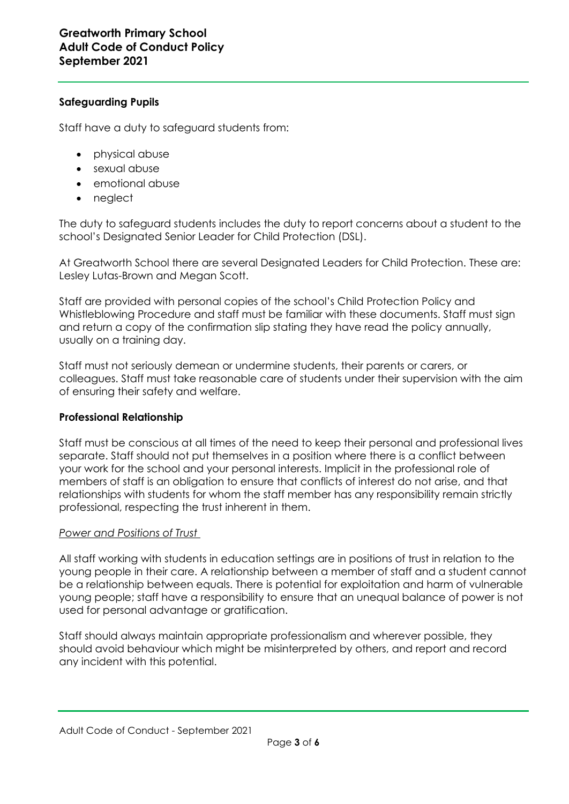# **Safeguarding Pupils**

Staff have a duty to safeguard students from:

- physical abuse
- sexual abuse
- emotional abuse
- neglect

The duty to safeguard students includes the duty to report concerns about a student to the school's Designated Senior Leader for Child Protection (DSL).

At Greatworth School there are several Designated Leaders for Child Protection. These are: Lesley Lutas-Brown and Megan Scott.

Staff are provided with personal copies of the school's Child Protection Policy and Whistleblowing Procedure and staff must be familiar with these documents. Staff must sign and return a copy of the confirmation slip stating they have read the policy annually, usually on a training day.

Staff must not seriously demean or undermine students, their parents or carers, or colleagues. Staff must take reasonable care of students under their supervision with the aim of ensuring their safety and welfare.

# **Professional Relationship**

Staff must be conscious at all times of the need to keep their personal and professional lives separate. Staff should not put themselves in a position where there is a conflict between your work for the school and your personal interests. Implicit in the professional role of members of staff is an obligation to ensure that conflicts of interest do not arise, and that relationships with students for whom the staff member has any responsibility remain strictly professional, respecting the trust inherent in them.

# *Power and Positions of Trust*

All staff working with students in education settings are in positions of trust in relation to the young people in their care. A relationship between a member of staff and a student cannot be a relationship between equals. There is potential for exploitation and harm of vulnerable young people; staff have a responsibility to ensure that an unequal balance of power is not used for personal advantage or gratification.

Staff should always maintain appropriate professionalism and wherever possible, they should avoid behaviour which might be misinterpreted by others, and report and record any incident with this potential.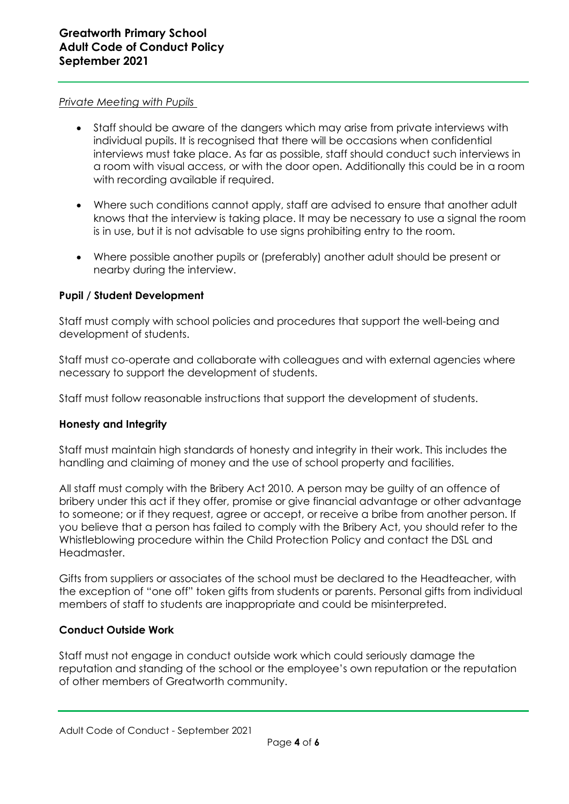#### *Private Meeting with Pupils*

- Staff should be aware of the dangers which may arise from private interviews with individual pupils. It is recognised that there will be occasions when confidential interviews must take place. As far as possible, staff should conduct such interviews in a room with visual access, or with the door open. Additionally this could be in a room with recording available if required.
- Where such conditions cannot apply, staff are advised to ensure that another adult knows that the interview is taking place. It may be necessary to use a signal the room is in use, but it is not advisable to use signs prohibiting entry to the room.
- Where possible another pupils or (preferably) another adult should be present or nearby during the interview.

# **Pupil / Student Development**

Staff must comply with school policies and procedures that support the well-being and development of students.

Staff must co-operate and collaborate with colleagues and with external agencies where necessary to support the development of students.

Staff must follow reasonable instructions that support the development of students.

# **Honesty and Integrity**

Staff must maintain high standards of honesty and integrity in their work. This includes the handling and claiming of money and the use of school property and facilities.

All staff must comply with the Bribery Act 2010. A person may be guilty of an offence of bribery under this act if they offer, promise or give financial advantage or other advantage to someone; or if they request, agree or accept, or receive a bribe from another person. If you believe that a person has failed to comply with the Bribery Act, you should refer to the Whistleblowing procedure within the Child Protection Policy and contact the DSL and Headmaster.

Gifts from suppliers or associates of the school must be declared to the Headteacher, with the exception of "one off" token gifts from students or parents. Personal gifts from individual members of staff to students are inappropriate and could be misinterpreted.

# **Conduct Outside Work**

Staff must not engage in conduct outside work which could seriously damage the reputation and standing of the school or the employee's own reputation or the reputation of other members of Greatworth community.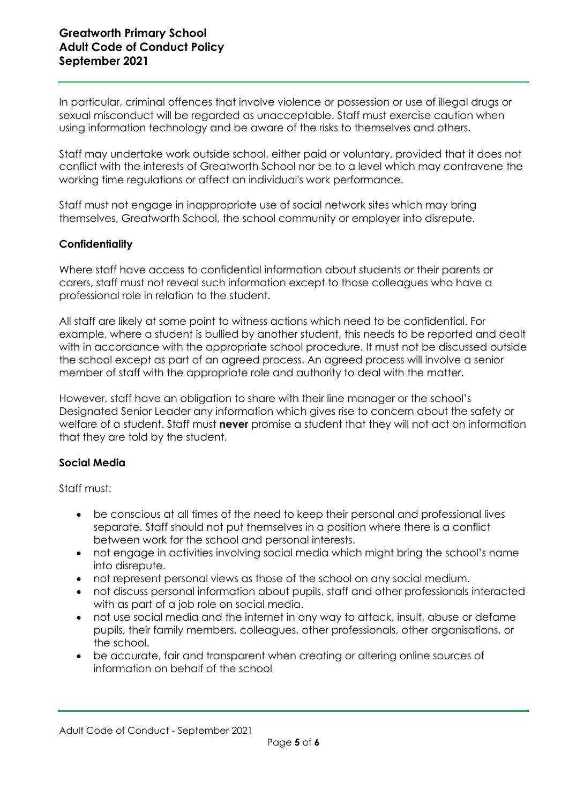In particular, criminal offences that involve violence or possession or use of illegal drugs or sexual misconduct will be regarded as unacceptable. Staff must exercise caution when using information technology and be aware of the risks to themselves and others.

Staff may undertake work outside school, either paid or voluntary, provided that it does not conflict with the interests of Greatworth School nor be to a level which may contravene the working time regulations or affect an individual's work performance.

Staff must not engage in inappropriate use of social network sites which may bring themselves, Greatworth School, the school community or employer into disrepute.

# **Confidentiality**

Where staff have access to confidential information about students or their parents or carers, staff must not reveal such information except to those colleagues who have a professional role in relation to the student.

All staff are likely at some point to witness actions which need to be confidential. For example, where a student is bullied by another student, this needs to be reported and dealt with in accordance with the appropriate school procedure. It must not be discussed outside the school except as part of an agreed process. An agreed process will involve a senior member of staff with the appropriate role and authority to deal with the matter.

However, staff have an obligation to share with their line manager or the school's Designated Senior Leader any information which gives rise to concern about the safety or welfare of a student. Staff must **never** promise a student that they will not act on information that they are told by the student.

# **Social Media**

Staff must:

- be conscious at all times of the need to keep their personal and professional lives separate. Staff should not put themselves in a position where there is a conflict between work for the school and personal interests.
- not engage in activities involving social media which might bring the school's name into disrepute.
- not represent personal views as those of the school on any social medium.
- not discuss personal information about pupils, staff and other professionals interacted with as part of a job role on social media.
- not use social media and the internet in any way to attack, insult, abuse or defame pupils, their family members, colleagues, other professionals, other organisations, or the school.
- be accurate, fair and transparent when creating or altering online sources of information on behalf of the school